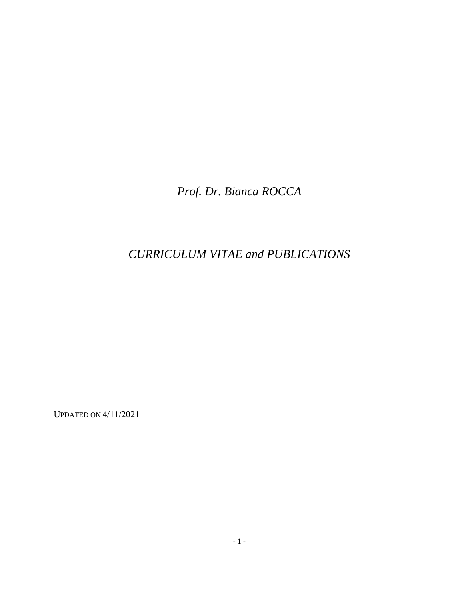*Prof. Dr. Bianca ROCCA*

*CURRICULUM VITAE and PUBLICATIONS*

UPDATED ON 4/11/2021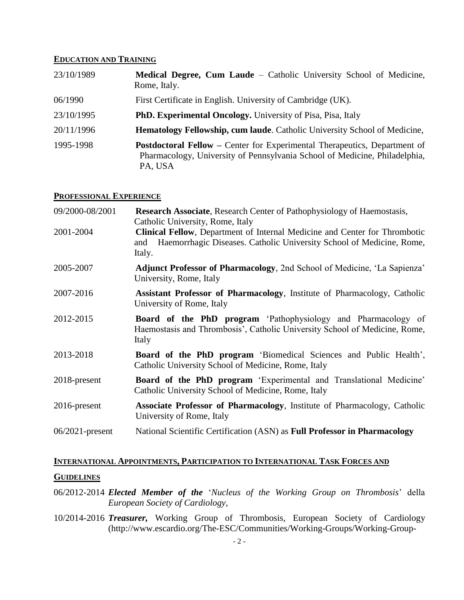### **EDUCATION AND TRAINING**

| 23/10/1989 | <b>Medical Degree, Cum Laude</b> – Catholic University School of Medicine,<br>Rome, Italy.                                                                                |
|------------|---------------------------------------------------------------------------------------------------------------------------------------------------------------------------|
| 06/1990    | First Certificate in English. University of Cambridge (UK).                                                                                                               |
| 23/10/1995 | PhD. Experimental Oncology. University of Pisa, Pisa, Italy                                                                                                               |
| 20/11/1996 | <b>Hematology Fellowship, cum laude.</b> Catholic University School of Medicine,                                                                                          |
| 1995-1998  | <b>Postdoctoral Fellow - Center for Experimental Therapeutics, Department of</b><br>Pharmacology, University of Pennsylvania School of Medicine, Philadelphia,<br>PA, USA |

#### **PROFESSIONAL EXPERIENCE**

| 09/2000-08/2001    | <b>Research Associate, Research Center of Pathophysiology of Haemostasis,</b><br>Catholic University, Rome, Italy                                                          |
|--------------------|----------------------------------------------------------------------------------------------------------------------------------------------------------------------------|
| 2001-2004          | <b>Clinical Fellow, Department of Internal Medicine and Center for Thrombotic</b><br>Haemorrhagic Diseases. Catholic University School of Medicine, Rome,<br>and<br>Italy. |
| 2005-2007          | Adjunct Professor of Pharmacology, 2nd School of Medicine, 'La Sapienza'<br>University, Rome, Italy                                                                        |
| 2007-2016          | Assistant Professor of Pharmacology, Institute of Pharmacology, Catholic<br>University of Rome, Italy                                                                      |
| 2012-2015          | <b>Board of the PhD program</b> 'Pathophysiology and Pharmacology of<br>Haemostasis and Thrombosis', Catholic University School of Medicine, Rome,<br>Italy                |
| 2013-2018          | <b>Board of the PhD program</b> 'Biomedical Sciences and Public Health',<br>Catholic University School of Medicine, Rome, Italy                                            |
| 2018-present       | Board of the PhD program 'Experimental and Translational Medicine'<br>Catholic University School of Medicine, Rome, Italy                                                  |
| $2016$ -present    | Associate Professor of Pharmacology, Institute of Pharmacology, Catholic<br>University of Rome, Italy                                                                      |
| $06/2021$ -present | National Scientific Certification (ASN) as <b>Full Professor in Pharmacology</b>                                                                                           |

# **INTERNATIONAL APPOINTMENTS, PARTICIPATION TO INTERNATIONAL TASK FORCES AND**

## **GUIDELINES**

- 06/2012-2014 *Elected Member of the* '*Nucleus of the Working Group on Thrombosis*' della *European Society of Cardiology*,
- 10/2014-2016 *Treasurer,* Working Group of Thrombosis, European Society of Cardiology (http://www.escardio.org/The-ESC/Communities/Working-Groups/Working-Group-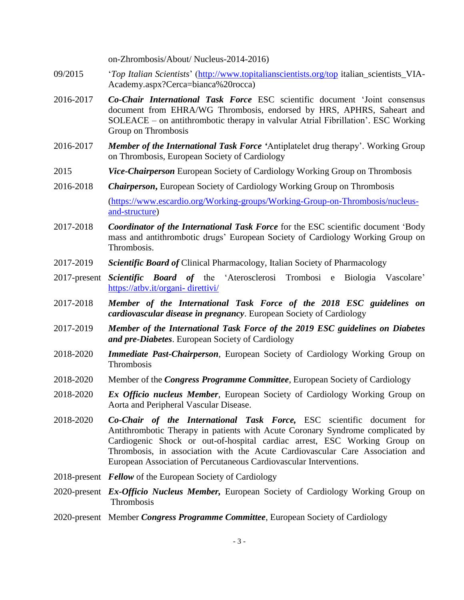on-Zhrombosis/About/ Nucleus-2014-2016)

- 09/2015 '*Top Italian Scientists*' [\(http://www.topitalianscientists.org/top](http://www.topitalianscientists.org/top) italian\_scientists\_VIA-Academy.aspx?Cerca=bianca%20rocca)
- 2016-2017 *Co-Chair International Task Force* ESC scientific document 'Joint consensus document from EHRA/WG Thrombosis, endorsed by HRS, APHRS, Saheart and SOLEACE – on antithrombotic therapy in valvular Atrial Fibrillation'. ESC Working Group on Thrombosis
- 2016-2017 *Member of the International Task Force '*Antiplatelet drug therapy'. Working Group on Thrombosis, European Society of Cardiology
- 2015 *Vice-Chairperson* European Society of Cardiology Working Group on Thrombosis
- 2016-2018 *Chairperson***,** European Society of Cardiology Working Group on Thrombosis

[\(https://www.escardio.org/Working-groups/Working-Group-on-Thrombosis/nucleus](https://www.escardio.org/Working-groups/Working-Group-on-Thrombosis/nucleus-and-structure)[and-structure\)](https://www.escardio.org/Working-groups/Working-Group-on-Thrombosis/nucleus-and-structure)

- 2017-2018 *Coordinator of the International Task Force* for the ESC scientific document 'Body mass and antithrombotic drugs' European Society of Cardiology Working Group on Thrombosis.
- 2017-2019 *Scientific Board of* Clinical Pharmacology, Italian Society of Pharmacology
- 2017-present *Scientific Board of* the 'Aterosclerosi Trombosi e Biologia Vascolare' [https://atbv.it/organi-](https://atbv.it/organi-%20direttivi/) direttivi/
- 2017-2018 *Member of the International Task Force of the 2018 ESC guidelines on cardiovascular disease in pregnancy*. European Society of Cardiology
- 2017-2019 *Member of the International Task Force of the 2019 ESC guidelines on Diabetes and pre-Diabetes*. European Society of Cardiology
- 2018-2020 *Immediate Past-Chairperson*, European Society of Cardiology Working Group on **Thrombosis**
- 2018-2020 Member of the *Congress Programme Committee*, European Society of Cardiology
- 2018-2020 *Ex Officio nucleus Member*, European Society of Cardiology Working Group on Aorta and Peripheral Vascular Disease.
- 2018-2020 *Co-Chair of the International Task Force,* ESC scientific document for Antithrombotic Therapy in patients with Acute Coronary Syndrome complicated by Cardiogenic Shock or out-of-hospital cardiac arrest, ESC Working Group on Thrombosis, in association with the Acute Cardiovascular Care Association and European Association of Percutaneous Cardiovascular Interventions.
- 2018-present *Fellow* of the European Society of Cardiology
- 2020-present *Ex-Officio Nucleus Member,* European Society of Cardiology Working Group on Thrombosis
- 2020-present Member *Congress Programme Committee*, European Society of Cardiology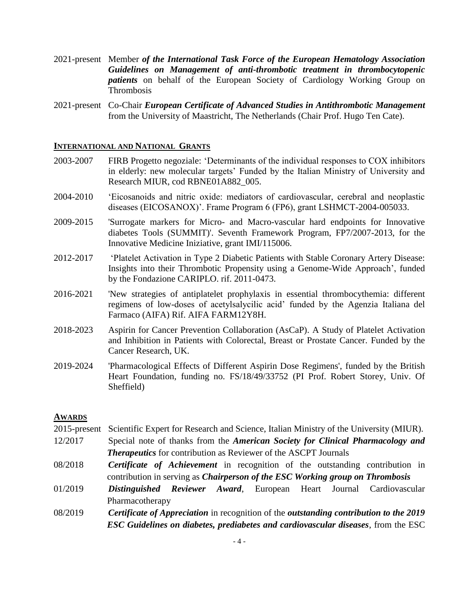- 2021-present Member *of the International Task Force of the European Hematology Association Guidelines on Management of anti-thrombotic treatment in thrombocytopenic patients* on behalf of the European Society of Cardiology Working Group on **Thrombosis**
- 2021-present Co-Chair *European Certificate of Advanced Studies in Antithrombotic Management* from the University of Maastricht, The Netherlands (Chair Prof. Hugo Ten Cate).

#### **INTERNATIONAL AND NATIONAL GRANTS**

- 2003-2007 FIRB Progetto negoziale: 'Determinants of the individual responses to COX inhibitors in elderly: new molecular targets' Funded by the Italian Ministry of University and Research MIUR, cod RBNE01A882\_005.
- 2004-2010 'Eicosanoids and nitric oxide: mediators of cardiovascular, cerebral and neoplastic diseases (EICOSANOX)'. Frame Program 6 (FP6), grant LSHMCT-2004-005033.
- 2009-2015 'Surrogate markers for Micro- and Macro-vascular hard endpoints for Innovative diabetes Tools (SUMMIT)'. Seventh Framework Program, FP7/2007-2013, for the Innovative Medicine Iniziative, grant IMI/115006.
- 2012-2017 'Platelet Activation in Type 2 Diabetic Patients with Stable Coronary Artery Disease: Insights into their Thrombotic Propensity using a Genome-Wide Approach', funded by the Fondazione CARIPLO. rif. 2011-0473.
- 2016-2021 'New strategies of antiplatelet prophylaxis in essential thrombocythemia: different regimens of low-doses of acetylsalycilic acid' funded by the Agenzia Italiana del Farmaco (AIFA) Rif. AIFA FARM12Y8H.
- 2018-2023 Aspirin for Cancer Prevention Collaboration (AsCaP). A Study of Platelet Activation and Inhibition in Patients with Colorectal, Breast or Prostate Cancer. Funded by the Cancer Research, UK.
- 2019-2024 'Pharmacological Effects of Different Aspirin Dose Regimens', funded by the British Heart Foundation, funding no. FS/18/49/33752 (PI Prof. Robert Storey, Univ. Of Sheffield)

#### **AWARDS**

2015-present Scientific Expert for Research and Science, Italian Ministry of the University (MIUR). 12/2017 Special note of thanks from the *American Society for Clinical Pharmacology and* 

*Therapeutics* for contribution as Reviewer of the ASCPT Journals

- 08/2018 *Certificate of Achievement* in recognition of the outstanding contribution in contribution in serving as *Chairperson of the ESC Working group on Thrombosis*
- 01/2019 *Distinguished Reviewer Award*, European Heart Journal Cardiovascular Pharmacotherapy
- 08/2019 *Certificate of Appreciation* in recognition of the *outstanding contribution to the 2019 ESC Guidelines on diabetes, prediabetes and cardiovascular diseases*, from the ESC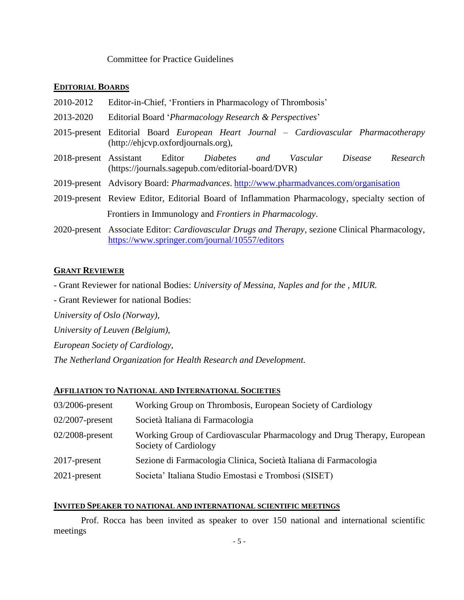# Committee for Practice Guidelines

# **EDITORIAL BOARDS**

| 2010-2012 | Editor-in-Chief, 'Frontiers in Pharmacology of Thrombosis'                                                                                        |  |
|-----------|---------------------------------------------------------------------------------------------------------------------------------------------------|--|
| 2013-2020 | Editorial Board 'Pharmacology Research & Perspectives'                                                                                            |  |
|           | 2015-present Editorial Board <i>European Heart Journal – Cardiovascular Pharmacotherapy</i><br>(http://ehjcvp.oxfordjournals.org),                |  |
|           | 2018-present Assistant Editor<br>Research<br>Vascular<br>Disease<br>Diabetes<br>and<br>(https://journals.sagepub.com/editorial-board/DVR)         |  |
|           | 2019-present Advisory Board: <i>Pharmadvances</i> . http://www.pharmadvances.com/organisation                                                     |  |
|           | 2019-present Review Editor, Editorial Board of Inflammation Pharmacology, specialty section of                                                    |  |
|           | Frontiers in Immunology and <i>Frontiers in Pharmacology</i> .                                                                                    |  |
|           | 2020-present Associate Editor: Cardiovascular Drugs and Therapy, sezione Clinical Pharmacology,<br>https://www.springer.com/journal/10557/editors |  |

# **GRANT REVIEWER**

- Grant Reviewer for national Bodies: *University of Messina, Naples and for the , MIUR.*

- Grant Reviewer for national Bodies:

*University of Oslo (Norway),* 

*University of Leuven (Belgium),* 

*European Society of Cardiology,* 

*The Netherland Organization for Health Research and Development.*

# **AFFILIATION TO NATIONAL AND INTERNATIONAL SOCIETIES**

| 03/2006-present    | Working Group on Thrombosis, European Society of Cardiology                                      |
|--------------------|--------------------------------------------------------------------------------------------------|
| $02/2007$ -present | Società Italiana di Farmacologia                                                                 |
| $02/2008$ -present | Working Group of Cardiovascular Pharmacology and Drug Therapy, European<br>Society of Cardiology |
| 2017-present       | Sezione di Farmacologia Clinica, Società Italiana di Farmacologia                                |
| 2021-present       | Societa' Italiana Studio Emostasi e Trombosi (SISET)                                             |

## **INVITED SPEAKER TO NATIONAL AND INTERNATIONAL SCIENTIFIC MEETINGS**

Prof. Rocca has been invited as speaker to over 150 national and international scientific meetings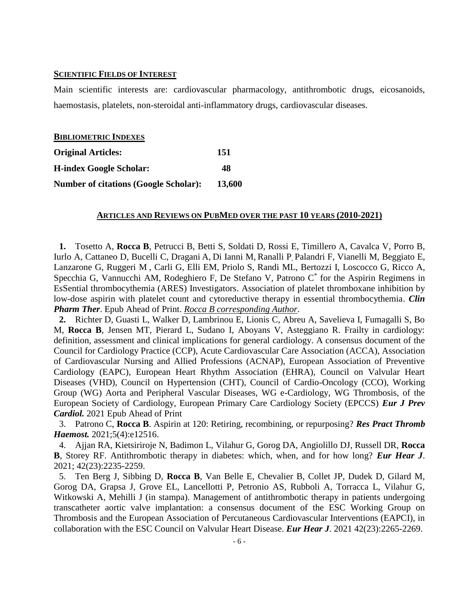#### **SCIENTIFIC FIELDS OF INTEREST**

Main scientific interests are: cardiovascular pharmacology, antithrombotic drugs, eicosanoids, haemostasis, platelets, non-steroidal anti-inflammatory drugs, cardiovascular diseases.

#### **BIBLIOMETRIC INDEXES**

| <b>Original Articles:</b>                    | 151           |
|----------------------------------------------|---------------|
| <b>H-index Google Scholar:</b>               | 48            |
| <b>Number of citations (Google Scholar):</b> | <b>13,600</b> |

#### **ARTICLES AND REVIEWS ON PUBMED OVER THE PAST 10 YEARS (2010-2021)**

**1.** Tosetto A, **Rocca B**, Petrucci B, Betti S, Soldati D, Rossi E, Timillero A, Cavalca V, Porro B, Iurlo A, Cattaneo D, Bucelli C, Dragani A, Di Ianni M, Ranalli P, Palandri F, Vianelli M, Beggiato E, Lanzarone G, Ruggeri M , Carli G, Elli EM, Priolo S, Randi ML, Bertozzi I, Loscocco G, Ricco A, Specchia G, Vannucchi AM, Rodeghiero F, De Stefano V, Patrono C<sup>\*</sup> for the Aspirin Regimens in EsSential thrombocythemia (ARES) Investigators. Association of platelet thromboxane inhibition by low-dose aspirin with platelet count and cytoreductive therapy in essential thrombocythemia. *Clin Pharm Ther*. Epub Ahead of Print. *Rocca B corresponding Author*.

**2.** Richter D, Guasti L, Walker D, Lambrinou E, Lionis C, Abreu A, Savelieva I, Fumagalli S, Bo M, **Rocca B**, Jensen MT, Pierard L, Sudano I, Aboyans V, Asteggiano R. Frailty in cardiology: definition, assessment and clinical implications for general cardiology. A consensus document of the Council for Cardiology Practice (CCP), Acute Cardiovascular Care Association (ACCA), Association of Cardiovascular Nursing and Allied Professions (ACNAP), European Association of Preventive Cardiology (EAPC), European Heart Rhythm Association (EHRA), Council on Valvular Heart Diseases (VHD), Council on Hypertension (CHT), Council of Cardio-Oncology (CCO), Working Group (WG) Aorta and Peripheral Vascular Diseases, WG e-Cardiology, WG Thrombosis, of the European Society of Cardiology, European Primary Care Cardiology Society (EPCCS) *Eur J Prev Cardiol.* 2021 Epub Ahead of Print

3. Patrono C, **Rocca B**. Aspirin at 120: Retiring, recombining, or repurposing? *Res Pract Thromb Haemost.* 2021;5(4):e12516.

4. Ajjan RA, Kietsiriroje N, Badimon L, Vilahur G, Gorog DA, Angiolillo DJ, Russell DR, **Rocca B**, Storey RF. Antithrombotic therapy in diabetes: which, when, and for how long? *Eur Hear J*. 2021; 42(23):2235-2259.

5. Ten Berg J, Sibbing D, **Rocca B**, Van Belle E, Chevalier B, Collet JP, Dudek D, Gilard M, Gorog DA, Grapsa J, Grove EL, Lancellotti P, Petronio AS, Rubboli A, Torracca L, Vilahur G, Witkowski A, Mehilli J (in stampa). Management of antithrombotic therapy in patients undergoing transcatheter aortic valve implantation: a consensus document of the ESC Working Group on Thrombosis and the European Association of Percutaneous Cardiovascular Interventions (EAPCI), in collaboration with the ESC Council on Valvular Heart Disease. *Eur Hear J*. 2021 42(23):2265-2269.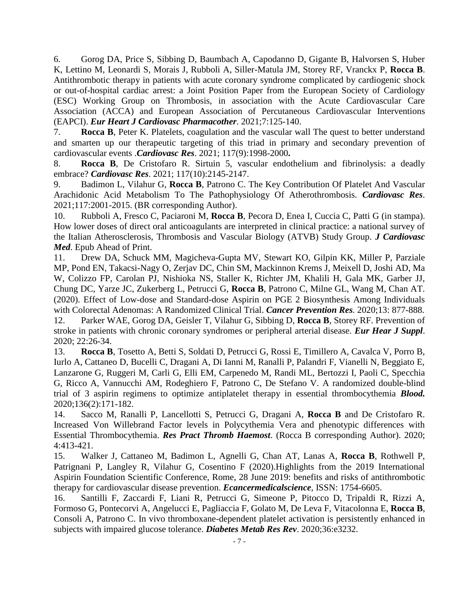6. Gorog DA, Price S, Sibbing D, Baumbach A, Capodanno D, Gigante B, Halvorsen S, Huber K, Lettino M, Leonardi S, Morais J, Rubboli A, Siller-Matula JM, Storey RF, Vranckx P, **Rocca B**. Antithrombotic therapy in patients with acute coronary syndrome complicated by cardiogenic shock or out-of-hospital cardiac arrest: a Joint Position Paper from the European Society of Cardiology (ESC) Working Group on Thrombosis, in association with the Acute Cardiovascular Care Association (ACCA) and European Association of Percutaneous Cardiovascular Interventions (EAPCI). *Eur Heart J Cardiovasc Pharmacother*. 2021;7:125-140.

7. **Rocca B**, Peter K. Platelets, coagulation and the vascular wall The quest to better understand and smarten up our therapeutic targeting of this triad in primary and secondary prevention of cardiovascular events .*Cardiovasc Res*. 2021; 117(9):1998-2000**.**

8. **Rocca B**, De Cristofaro R. Sirtuin 5, vascular endothelium and fibrinolysis: a deadly embrace? *Cardiovasc Res*. 2021; 117(10):2145-2147.

9. Badimon L, Vilahur G, **Rocca B**, Patrono C. The Key Contribution Of Platelet And Vascular Arachidonic Acid Metabolism To The Pathophysiology Of Atherothrombosis. *Cardiovasc Res*. 2021;117:2001-2015. (BR corresponding Author).

10. Rubboli A, Fresco C, Paciaroni M, **Rocca B**, Pecora D, Enea I, Cuccia C, Patti G (in stampa). How lower doses of direct oral anticoagulants are interpreted in clinical practice: a national survey of the Italian Atherosclerosis, Thrombosis and Vascular Biology (ATVB) Study Group. *J Cardiovasc Med*. Epub Ahead of Print.

11. Drew DA, Schuck MM, Magicheva-Gupta MV, Stewart KO, Gilpin KK, Miller P, Parziale MP, Pond EN, Takacsi-Nagy O, Zerjav DC, Chin SM, Mackinnon Krems J, Meixell D, Joshi AD, Ma W, Colizzo FP, Carolan PJ, Nishioka NS, Staller K, Richter JM, Khalili H, Gala MK, Garber JJ, Chung DC, Yarze JC, Zukerberg L, Petrucci G, **Rocca B**, Patrono C, Milne GL, Wang M, Chan AT. (2020). Effect of Low-dose and Standard-dose Aspirin on PGE 2 Biosynthesis Among Individuals with Colorectal Adenomas: A Randomized Clinical Trial. *Cancer Prevention Res.* 2020;13: 877-888.

12. Parker WAE, Gorog DA, Geisler T, Vilahur G, Sibbing D, **Rocca B**, Storey RF. Prevention of stroke in patients with chronic coronary syndromes or peripheral arterial disease. *Eur Hear J Suppl*. 2020; 22:26-34.

13. **Rocca B**, Tosetto A, Betti S, Soldati D, Petrucci G, Rossi E, Timillero A, Cavalca V, Porro B, Iurlo A, Cattaneo D, Bucelli C, Dragani A, Di Ianni M, Ranalli P, Palandri F, Vianelli N, Beggiato E, Lanzarone G, Ruggeri M, Carli G, Elli EM, Carpenedo M, Randi ML, Bertozzi I, Paoli C, Specchia G, Ricco A, Vannucchi AM, Rodeghiero F, Patrono C, De Stefano V. A randomized double-blind trial of 3 aspirin regimens to optimize antiplatelet therapy in essential thrombocythemia *Blood.* 2020;136(2):171-182.

14. Sacco M, Ranalli P, Lancellotti S, Petrucci G, Dragani A, **Rocca B** and De Cristofaro R. Increased Von Willebrand Factor levels in Polycythemia Vera and phenotypic differences with Essential Thrombocythemia. *Res Pract Thromb Haemost*. (Rocca B corresponding Author). 2020; 4:413-421.

15. Walker J, Cattaneo M, Badimon L, Agnelli G, Chan AT, Lanas A, **Rocca B**, Rothwell P, Patrignani P, Langley R, Vilahur G, Cosentino F (2020).Highlights from the 2019 International Aspirin Foundation Scientific Conference, Rome, 28 June 2019: benefits and risks of antithrombotic therapy for cardiovascular disease prevention. *Ecancermedicalscience*, ISSN: 1754-6605.

16. Santilli F, Zaccardi F, Liani R, Petrucci G, Simeone P, Pitocco D, Tripaldi R, Rizzi A, Formoso G, Pontecorvi A, Angelucci E, Pagliaccia F, Golato M, De Leva F, Vitacolonna E, **Rocca B**, Consoli A, Patrono C. In vivo thromboxane-dependent platelet activation is persistently enhanced in subjects with impaired glucose tolerance. *Diabetes Metab Res Rev*. 2020;36:e3232.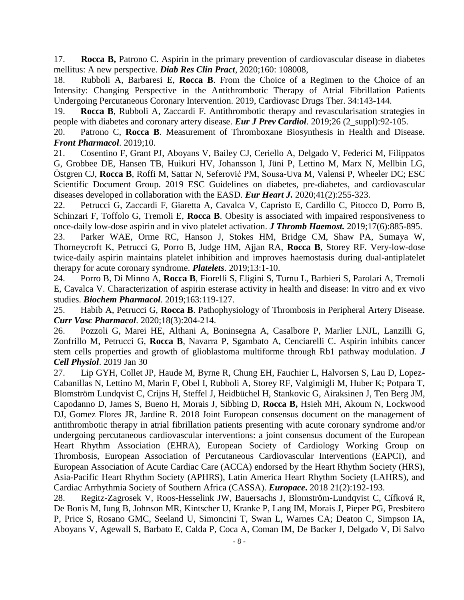17. **Rocca B,** Patrono C. Aspirin in the primary prevention of cardiovascular disease in diabetes mellitus: A new perspective. *Diab Res Clin Pract*, 2020;160: 108008,

18. Rubboli A, Barbaresi E, **Rocca B**. From the Choice of a Regimen to the Choice of an Intensity: Changing Perspective in the Antithrombotic Therapy of Atrial Fibrillation Patients Undergoing Percutaneous Coronary Intervention. 2019, Cardiovasc Drugs Ther. 34:143-144.

19. **Rocca B**, Rubboli A, Zaccardi F. Antithrombotic therapy and revascularisation strategies in people with diabetes and coronary artery disease. *Eur J Prev Cardiol*. 2019;26 (2\_suppl):92-105.

20. Patrono C, **Rocca B**. Measurement of Thromboxane Biosynthesis in Health and Disease. *Front Pharmacol*. 2019;10.

21. Cosentino F, Grant PJ, Aboyans V, Bailey CJ, Ceriello A, Delgado V, Federici M, Filippatos G, Grobbee DE, Hansen TB, Huikuri HV, Johansson I, Jüni P, Lettino M, Marx N, Mellbin LG, Östgren CJ, **Rocca B**, Roffi M, Sattar N, Seferović PM, Sousa-Uva M, Valensi P, Wheeler DC; ESC Scientific Document Group. 2019 ESC Guidelines on diabetes, pre-diabetes, and cardiovascular diseases developed in collaboration with the EASD. *Eur Heart J.* 2020;41(2):255-323.

22. Petrucci G, Zaccardi F, Giaretta A, Cavalca V, Capristo E, Cardillo C, Pitocco D, Porro B, Schinzari F, Toffolo G, Tremoli E, **Rocca B**. Obesity is associated with impaired responsiveness to once-daily low-dose aspirin and in vivo platelet activation. *J Thromb Haemost.* 2019;17(6):885-895.

23. Parker WAE, Orme RC, Hanson J, Stokes HM, Bridge CM, Shaw PA, Sumaya W, Thorneycroft K, Petrucci G, Porro B, Judge HM, Ajjan RA, **Rocca B**, Storey RF. Very-low-dose twice-daily aspirin maintains platelet inhibition and improves haemostasis during dual-antiplatelet therapy for acute coronary syndrome. *Platelets*. 2019;13:1-10.

24. Porro B, Di Minno A, **Rocca B**, Fiorelli S, Eligini S, Turnu L, Barbieri S, Parolari A, Tremoli E, Cavalca V. Characterization of aspirin esterase activity in health and disease: In vitro and ex vivo studies. *Biochem Pharmacol*. 2019;163:119-127.

25. Habib A, Petrucci G, **Rocca B**. Pathophysiology of Thrombosis in Peripheral Artery Disease. *Curr Vasc Pharmacol*. 2020;18(3):204-214.

26. Pozzoli G, Marei HE, Althani A, Boninsegna A, Casalbore P, Marlier LNJL, Lanzilli G, Zonfrillo M, Petrucci G, **Rocca B**, Navarra P, Sgambato A, Cenciarelli C. Aspirin inhibits cancer stem cells properties and growth of glioblastoma multiforme through Rb1 pathway modulation. *J Cell Physiol*. 2019 Jan 30

27. Lip GYH, Collet JP, Haude M, Byrne R, Chung EH, Fauchier L, Halvorsen S, Lau D, Lopez-Cabanillas N, Lettino M, Marin F, Obel I, Rubboli A, Storey RF, Valgimigli M, Huber K; Potpara T, Blomström Lundqvist C, Crijns H, Steffel J, Heidbüchel H, Stankovic G, Airaksinen J, Ten Berg JM, Capodanno D, James S, Bueno H, Morais J, Sibbing D, **Rocca B,** Hsieh MH, Akoum N, Lockwood DJ, Gomez Flores JR, Jardine R. 2018 Joint European consensus document on the management of antithrombotic therapy in atrial fibrillation patients presenting with acute coronary syndrome and/or undergoing percutaneous cardiovascular interventions: a joint consensus document of the European Heart Rhythm Association (EHRA), European Society of Cardiology Working Group on Thrombosis, European Association of Percutaneous Cardiovascular Interventions (EAPCI), and European Association of Acute Cardiac Care (ACCA) endorsed by the Heart Rhythm Society (HRS), Asia-Pacific Heart Rhythm Society (APHRS), Latin America Heart Rhythm Society (LAHRS), and Cardiac Arrhythmia Society of Southern Africa (CASSA). *Europace***.** 2018 21(2):192-193.

28. Regitz-Zagrosek V, Roos-Hesselink JW, Bauersachs J, Blomström-Lundqvist C, Cífková R, De Bonis M, Iung B, Johnson MR, Kintscher U, Kranke P, Lang IM, Morais J, Pieper PG, Presbitero P, Price S, Rosano GMC, Seeland U, Simoncini T, Swan L, Warnes CA; Deaton C, Simpson IA, Aboyans V, Agewall S, Barbato E, Calda P, Coca A, Coman IM, De Backer J, Delgado V, Di Salvo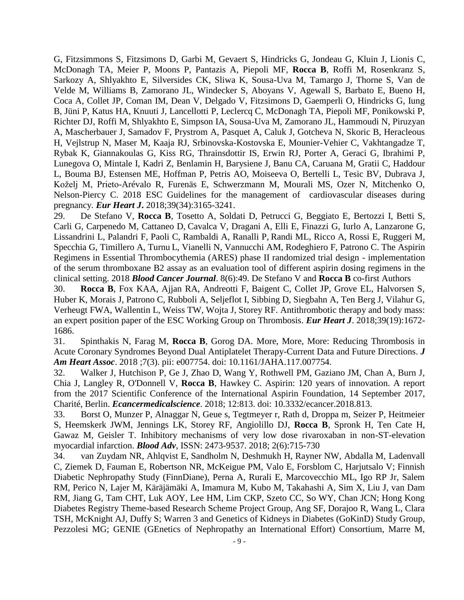G, Fitzsimmons S, Fitzsimons D, Garbi M, Gevaert S, Hindricks G, Jondeau G, Kluin J, Lionis C, McDonagh TA, Meier P, Moons P, Pantazis A, Piepoli MF, **Rocca B**, Roffi M, Rosenkranz S, Sarkozy A, Shlyakhto E, Silversides CK, Sliwa K, Sousa-Uva M, Tamargo J, Thorne S, Van de Velde M, Williams B, Zamorano JL, Windecker S, Aboyans V, Agewall S, Barbato E, Bueno H, Coca A, Collet JP, Coman IM, Dean V, Delgado V, Fitzsimons D, Gaemperli O, Hindricks G, Iung B, Jüni P, Katus HA, Knuuti J, Lancellotti P, Leclercq C, McDonagh TA, Piepoli MF, Ponikowski P, Richter DJ, Roffi M, Shlyakhto E, Simpson IA, Sousa-Uva M, Zamorano JL, Hammoudi N, Piruzyan A, Mascherbauer J, Samadov F, Prystrom A, Pasquet A, Caluk J, Gotcheva N, Skoric B, Heracleous H, Vejlstrup N, Maser M, Kaaja RJ, Srbinovska-Kostovska E, Mounier-Vehier C, Vakhtangadze T, Rybak K, Giannakoulas G, Kiss RG, Thrainsdottir IS, Erwin RJ, Porter A, Geraci G, Ibrahimi P, Lunegova O, Mintale I, Kadri Z, Benlamin H, Barysiene J, Banu CA, Caruana M, Gratii C, Haddour L, Bouma BJ, Estensen ME, Hoffman P, Petris AO, Moiseeva O, Bertelli L, Tesic BV, Dubrava J, Koželj M, Prieto-Arévalo R, Furenäs E, Schwerzmann M, Mourali MS, Ozer N, Mitchenko O, Nelson-Piercy C. 2018 ESC Guidelines for the management of cardiovascular diseases during pregnancy*. Eur Heart J***.** 2018;39(34):3165-3241.

29. De Stefano V, **Rocca B**, Tosetto A, Soldati D, Petrucci G, Beggiato E, Bertozzi I, Betti S, Carli G, Carpenedo M, Cattaneo D, Cavalca V, Dragani A, Elli E, Finazzi G, Iurlo A, Lanzarone G, Lissandrini L, Palandri F, Paoli C, Rambaldi A, Ranalli P, Randi ML, Ricco A, Rossi E, Ruggeri M, Specchia G, Timillero A, Turnu L, Vianelli N, Vannucchi AM, Rodeghiero F, Patrono C. The Aspirin Regimens in Essential Thrombocythemia (ARES) phase II randomized trial design - implementation of the serum thromboxane B2 assay as an evaluation tool of different aspirin dosing regimens in the clinical setting. 2018 *Blood Cancer Journal*. 8(6):49. De Stefano V and **Rocca B** co-first Authors

30. **Rocca B**, Fox KAA, Ajjan RA, Andreotti F, Baigent C, Collet JP, Grove EL, Halvorsen S, Huber K, Morais J, Patrono C, Rubboli A, Seljeflot I, Sibbing D, Siegbahn A, Ten Berg J, Vilahur G, Verheugt FWA, Wallentin L, Weiss TW, Wojta J, Storey RF. Antithrombotic therapy and body mass: an expert position paper of the ESC Working Group on Thrombosis. *Eur Heart J*. 2018;39(19):1672- 1686.

31. Spinthakis N, Farag M, **Rocca B**, Gorog DA. More, More, More: Reducing Thrombosis in Acute Coronary Syndromes Beyond Dual Antiplatelet Therapy-Current Data and Future Directions. *J Am Heart Assoc*. 2018 ;7(3). pii: e007754. doi: 10.1161/JAHA.117.007754.

32. Walker J, Hutchison P, Ge J, Zhao D, Wang Y, Rothwell PM, Gaziano JM, Chan A, Burn J, Chia J, Langley R, O'Donnell V, **Rocca B**, Hawkey C. Aspirin: 120 years of innovation. A report from the 2017 Scientific Conference of the International Aspirin Foundation, 14 September 2017, Charité, Berlin. *Ecancermedicalscience*. 2018; 12:813. doi: 10.3332/ecancer.2018.813.

33. Borst O, Munzer P, Alnaggar N, Geue s, Tegtmeyer r, Rath d, Droppa m, Seizer P, Heitmeier S, Heemskerk JWM, Jennings LK, Storey RF, Angiolillo DJ, **Rocca B**, Spronk H, Ten Cate H, Gawaz M, Geisler T. Inhibitory mechanisms of very low dose rivaroxaban in non-ST-elevation myocardial infarction. *Blood Adv*, ISSN: 2473-9537. 2018; 2(6):715-730

34. van Zuydam NR, Ahlqvist E, Sandholm N, Deshmukh H, Rayner NW, Abdalla M, Ladenvall C, Ziemek D, Fauman E, Robertson NR, McKeigue PM, Valo E, Forsblom C, Harjutsalo V; Finnish Diabetic Nephropathy Study (FinnDiane), Perna A, Rurali E, Marcovecchio ML, Igo RP Jr, Salem RM, Perico N, Lajer M, Käräjämäki A, Imamura M, Kubo M, Takahashi A, Sim X, Liu J, van Dam RM, Jiang G, Tam CHT, Luk AOY, Lee HM, Lim CKP, Szeto CC, So WY, Chan JCN; Hong Kong Diabetes Registry Theme-based Research Scheme Project Group, Ang SF, Dorajoo R, Wang L, Clara TSH, McKnight AJ, Duffy S; Warren 3 and Genetics of Kidneys in Diabetes (GoKinD) Study Group, Pezzolesi MG; GENIE (GEnetics of Nephropathy an International Effort) Consortium, Marre M,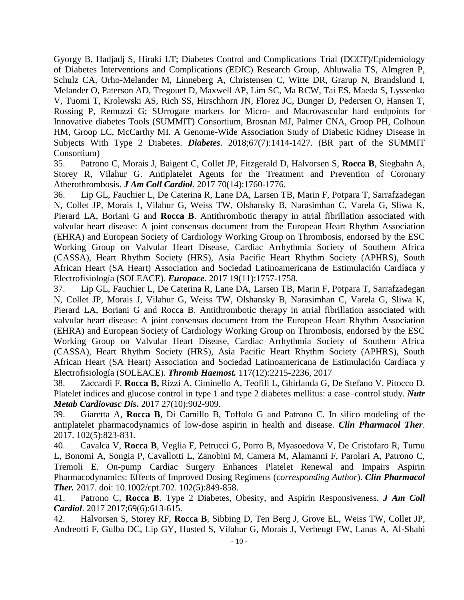Gyorgy B, Hadjadj S, Hiraki LT; Diabetes Control and Complications Trial (DCCT)/Epidemiology of Diabetes Interventions and Complications (EDIC) Research Group, Ahluwalia TS, Almgren P, Schulz CA, Orho-Melander M, Linneberg A, Christensen C, Witte DR, Grarup N, Brandslund I, Melander O, Paterson AD, Tregouet D, Maxwell AP, Lim SC, Ma RCW, Tai ES, Maeda S, Lyssenko V, Tuomi T, Krolewski AS, Rich SS, Hirschhorn JN, Florez JC, Dunger D, Pedersen O, Hansen T, Rossing P, Remuzzi G; SUrrogate markers for Micro- and Macrovascular hard endpoints for Innovative diabetes Tools (SUMMIT) Consortium, Brosnan MJ, Palmer CNA, Groop PH, Colhoun HM, Groop LC, McCarthy MI. A Genome-Wide Association Study of Diabetic Kidney Disease in Subjects With Type 2 Diabetes. *Diabetes*. 2018;67(7):1414-1427. (BR part of the SUMMIT Consortium)

35. Patrono C, Morais J, Baigent C, Collet JP, Fitzgerald D, Halvorsen S, **Rocca B**, Siegbahn A, Storey R, Vilahur G. Antiplatelet Agents for the Treatment and Prevention of Coronary Atherothrombosis. *J Am Coll Cardiol*. 2017 70(14):1760-1776.

36. Lip GL, Fauchier L, De Caterina R, Lane DA, Larsen TB, Marin F, Potpara T, Sarrafzadegan N, Collet JP, Morais J, Vilahur G, Weiss TW, Olshansky B, Narasimhan C, Varela G, Sliwa K, Pierard LA, Boriani G and **Rocca B**. Antithrombotic therapy in atrial fibrillation associated with valvular heart disease: A joint consensus document from the European Heart Rhythm Association (EHRA) and European Society of Cardiology Working Group on Thrombosis, endorsed by the ESC Working Group on Valvular Heart Disease, Cardiac Arrhythmia Society of Southern Africa (CASSA), Heart Rhythm Society (HRS), Asia Pacific Heart Rhythm Society (APHRS), South African Heart (SA Heart) Association and Sociedad Latinoamericana de Estimulación Cardíaca y Electrofisiología (SOLEACE). *Europace*. 2017 19(11):1757-1758.

37. Lip GL, Fauchier L, De Caterina R, Lane DA, Larsen TB, Marin F, Potpara T, Sarrafzadegan N, Collet JP, Morais J, Vilahur G, Weiss TW, Olshansky B, Narasimhan C, Varela G, Sliwa K, Pierard LA, Boriani G and Rocca B. Antithrombotic therapy in atrial fibrillation associated with valvular heart disease: A joint consensus document from the European Heart Rhythm Association (EHRA) and European Society of Cardiology Working Group on Thrombosis, endorsed by the ESC Working Group on Valvular Heart Disease, Cardiac Arrhythmia Society of Southern Africa (CASSA), Heart Rhythm Society (HRS), Asia Pacific Heart Rhythm Society (APHRS), South African Heart (SA Heart) Association and Sociedad Latinoamericana de Estimulación Cardíaca y Electrofisiología (SOLEACE). *Thromb Haemost.* 117(12):2215-2236, 2017

38. Zaccardi F, **Rocca B,** Rizzi A, Ciminello A, Teofili L, Ghirlanda G, De Stefano V, Pitocco D. Platelet indices and glucose control in type 1 and type 2 diabetes mellitus: a case–control study. *Nutr Metab Cardiovasc Dis***.** 2017 27(10):902-909.

39. Giaretta A, **Rocca B**, Di Camillo B, Toffolo G and Patrono C. In silico modeling of the antiplatelet pharmacodynamics of low-dose aspirin in health and disease. *Clin Pharmacol Ther*. 2017. 102(5):823-831.

40. Cavalca V, **Rocca B**, Veglia F, Petrucci G, Porro B, Myasoedova V, De Cristofaro R, Turnu L, Bonomi A, Songia P, Cavallotti L, Zanobini M, Camera M, Alamanni F, Parolari A, Patrono C, Tremoli E. On-pump Cardiac Surgery Enhances Platelet Renewal and Impairs Aspirin Pharmacodynamics: Effects of Improved Dosing Regimens (*corresponding Author*). *Clin Pharmacol Ther.* 2017. doi: 10.1002/cpt.702. 102(5):849-858.

41. Patrono C, **Rocca B**. Type 2 Diabetes, Obesity, and Aspirin Responsiveness. *J Am Coll Cardiol*. 2017 2017;69(6):613-615.

42. Halvorsen S, Storey RF, **Rocca B**, Sibbing D, Ten Berg J, Grove EL, Weiss TW, Collet JP, Andreotti F, Gulba DC, Lip GY, Husted S, Vilahur G, Morais J, Verheugt FW, Lanas A, Al-Shahi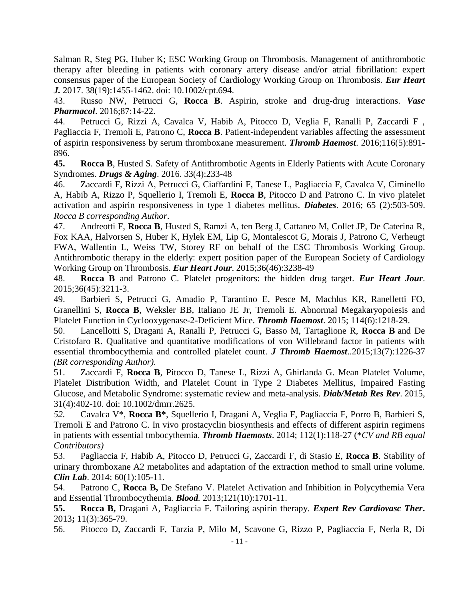Salman R, Steg PG, Huber K; ESC Working Group on Thrombosis. Management of antithrombotic therapy after bleeding in patients with coronary artery disease and/or atrial fibrillation: expert consensus paper of the European Society of Cardiology Working Group on Thrombosis. *Eur Heart J.* 2017. 38(19):1455-1462. doi: 10.1002/cpt.694.

43. Russo NW, Petrucci G, **Rocca B**. Aspirin, stroke and drug-drug interactions. *Vasc Pharmacol*. 2016;87:14-22.

44. Petrucci G, Rizzi A, Cavalca V, Habib A, Pitocco D, Veglia F, Ranalli P, Zaccardi F , Pagliaccia F, Tremoli E, Patrono C, **Rocca B**. Patient-independent variables affecting the assessment of aspirin responsiveness by serum thromboxane measurement. *Thromb Haemost*. 2016;116(5):891- 896.

**45. Rocca B**, Husted S. Safety of Antithrombotic Agents in Elderly Patients with Acute Coronary Syndromes. *Drugs & Aging*. 2016. 33(4):233-48

46. Zaccardi F, Rizzi A, Petrucci G, Ciaffardini F, Tanese L, Pagliaccia F, Cavalca V, Ciminello A, Habib A, Rizzo P, Squellerio I, Tremoli E, **Rocca B**, Pitocco D and Patrono C. In vivo platelet activation and aspirin responsiveness in type 1 diabetes mellitus. *Diabetes*. 2016; 65 (2):503-509. *Rocca B corresponding Author*.

47. Andreotti F, **Rocca B**, Husted S, Ramzi A, ten Berg J, Cattaneo M, Collet JP, De Caterina R, Fox KAA, Halvorsen S, Huber K, Hylek EM, Lip G, Montalescot G, Morais J, Patrono C, Verheugt FWA, Wallentin L, Weiss TW, Storey RF on behalf of the ESC Thrombosis Working Group. Antithrombotic therapy in the elderly: expert position paper of the European Society of Cardiology Working Group on Thrombosis. *Eur Heart Jour*. 2015;36(46):3238-49

48. **Rocca B** and Patrono C. Platelet progenitors: the hidden drug target. *Eur Heart Jour*. 2015;36(45):3211-3.

49. Barbieri S, Petrucci G, Amadio P, Tarantino E, Pesce M, Machlus KR, Ranelletti FO, Granellini S, **Rocca B**, Weksler BB, Italiano JE Jr, Tremoli E. Abnormal Megakaryopoiesis and Platelet Function in Cyclooxygenase-2-Deficient Mice. *Thromb Haemost*. 2015; 114(6):1218-29.

50. Lancellotti S, Dragani A, Ranalli P, Petrucci G, Basso M, Tartaglione R, **Rocca B** and De Cristofaro R. Qualitative and quantitative modifications of von Willebrand factor in patients with essential thrombocythemia and controlled platelet count. *J Thromb Haemost*..2015;13(7):1226-37 *(BR corresponding Author)*.

51. Zaccardi F, **Rocca B**, Pitocco D, Tanese L, Rizzi A, Ghirlanda G. Mean Platelet Volume, Platelet Distribution Width, and Platelet Count in Type 2 Diabetes Mellitus, Impaired Fasting Glucose, and Metabolic Syndrome: systematic review and meta-analysis. *Diab/Metab Res Rev*. 2015, 31(4):402-10. doi: 10.1002/dmrr.2625.

*52.* Cavalca V\*, **Rocca B\***, Squellerio I, Dragani A, Veglia F, Pagliaccia F, Porro B, Barbieri S, Tremoli E and Patrono C. In vivo prostacyclin biosynthesis and effects of different aspirin regimens in patients with essential tmbocythemia. *Thromb Haemosts*. 2014; 112(1):118-27 (\**CV and RB equal Contributors)*

53. Pagliaccia F, Habib A, Pitocco D, Petrucci G, Zaccardi F, di Stasio E, **Rocca B**. Stability of urinary thromboxane A2 metabolites and adaptation of the extraction method to small urine volume. *Clin Lab.* 2014; 60(1):105-11.

54. Patrono C, **Rocca B,** De Stefano V. Platelet Activation and Inhibition in Polycythemia Vera and Essential Thrombocythemia*. Blood.* 2013;121(10):1701-11.

**55. Rocca B,** Dragani A, Pagliaccia F. Tailoring aspirin therapy. *Expert Rev Cardiovasc Ther***.** 2013**;** 11(3):365-79.

56. Pitocco D, Zaccardi F, Tarzia P, Milo M, Scavone G, Rizzo P, Pagliaccia F, Nerla R, Di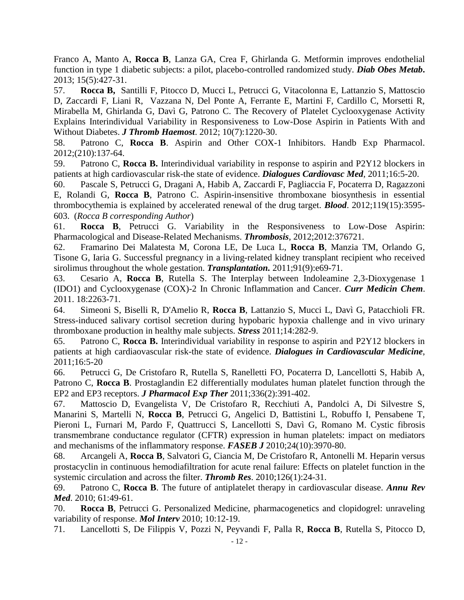Franco A, Manto A, **Rocca B**, Lanza GA, Crea F, Ghirlanda G. Metformin improves endothelial function in type 1 diabetic subjects: a pilot, placebo-controlled randomized study. *Diab Obes Metab***.** 2013; 15(5):427-31.

57. **Rocca B,** Santilli F, Pitocco D, Mucci L, Petrucci G, Vitacolonna E, Lattanzio S, Mattoscio D, Zaccardi F, Liani R, Vazzana N, Del Ponte A, Ferrante E, Martini F, Cardillo C, Morsetti R, Mirabella M, Ghirlanda G, Davì G, Patrono C. The Recovery of Platelet Cyclooxygenase Activity Explains Interindividual Variability in Responsiveness to Low-Dose Aspirin in Patients With and Without Diabetes. *J Thromb Haemost*. 2012; 10(7):1220-30.

58. Patrono C, **Rocca B**. Aspirin and Other COX-1 Inhibitors. Handb Exp Pharmacol. 2012;(210):137-64.

59. Patrono C, **Rocca B.** Interindividual variability in response to aspirin and P2Y12 blockers in patients at high cardiovascular risk-the state of evidence. *Dialogues Cardiovasc Med*, 2011;16:5-20.

60. Pascale S, Petrucci G, Dragani A, Habib A, Zaccardi F, Pagliaccia F, Pocaterra D, Ragazzoni E, Rolandi G, **Rocca B**, Patrono C. Aspirin-insensitive thromboxane biosynthesis in essential thrombocythemia is explained by accelerated renewal of the drug target. *Blood*. 2012;119(15):3595- 603. (*Rocca B corresponding Author*)

61. **Rocca B**, Petrucci G. Variability in the Responsiveness to Low-Dose Aspirin: Pharmacological and Disease-Related Mechanisms. *Thrombosis*, 2012;2012:376721.

62. Framarino Dei Malatesta M, Corona LE, De Luca L, **Rocca B**, Manzia TM, Orlando G, Tisone G, Iaria G. Successful pregnancy in a living-related kidney transplant recipient who received sirolimus throughout the whole gestation. *Transplantation.* 2011;91(9):e69-71.

63. Cesario A, **Rocca B**, Rutella S. The Interplay between Indoleamine 2,3-Dioxygenase 1 (IDO1) and Cyclooxygenase (COX)-2 In Chronic Inflammation and Cancer. *Curr Medicin Chem*. 2011. 18:2263-71.

64. Simeoni S, Biselli R, D'Amelio R, **Rocca B**, Lattanzio S, Mucci L, Davì G, Patacchioli FR. Stress-induced salivary cortisol secretion during hypobaric hypoxia challenge and in vivo urinary thromboxane production in healthy male subjects. *Stress* 2011;14:282-9.

65. Patrono C, **Rocca B.** Interindividual variability in response to aspirin and P2Y12 blockers in patients at high cardiaovascular risk-the state of evidence. *Dialogues in Cardiovascular Medicine*, 2011;16:5-20

66. Petrucci G, De Cristofaro R, Rutella S, Ranelletti FO, Pocaterra D, Lancellotti S, Habib A, Patrono C, **Rocca B**. Prostaglandin E2 differentially modulates human platelet function through the EP2 and EP3 receptors. *J Pharmacol Exp Ther* 2011;336(2):391-402.

67. Mattoscio D, Evangelista V, De Cristofaro R, Recchiuti A, Pandolci A, Di Silvestre S, Manarini S, Martelli N, **Rocca B**, Petrucci G, Angelici D, Battistini L, Robuffo I, Pensabene T, Pieroni L, Furnari M, Pardo F, Quattrucci S, Lancellotti S, Davì G, Romano M. Cystic fibrosis transmembrane conductance regulator (CFTR) expression in human platelets: impact on mediators and mechanisms of the inflammatory response. *FASEB J* 2010;24(10):3970-80.

68. Arcangeli A, **Rocca B**, Salvatori G, Ciancia M, De Cristofaro R, Antonelli M. Heparin versus prostacyclin in continuous hemodiafiltration for acute renal failure: Effects on platelet function in the systemic circulation and across the filter. *Thromb Res*. 2010;126(1):24-31.

69. Patrono C, **Rocca B**. The future of antiplatelet therapy in cardiovascular disease. *Annu Rev Med*. 2010; 61:49-61.

70. **Rocca B**, Petrucci G. Personalized Medicine, pharmacogenetics and clopidogrel: unraveling variability of response. *Mol Interv* 2010; 10:12-19.

71. Lancellotti S, De Filippis V, Pozzi N, Peyvandi F, Palla R, **Rocca B**, Rutella S, Pitocco D,